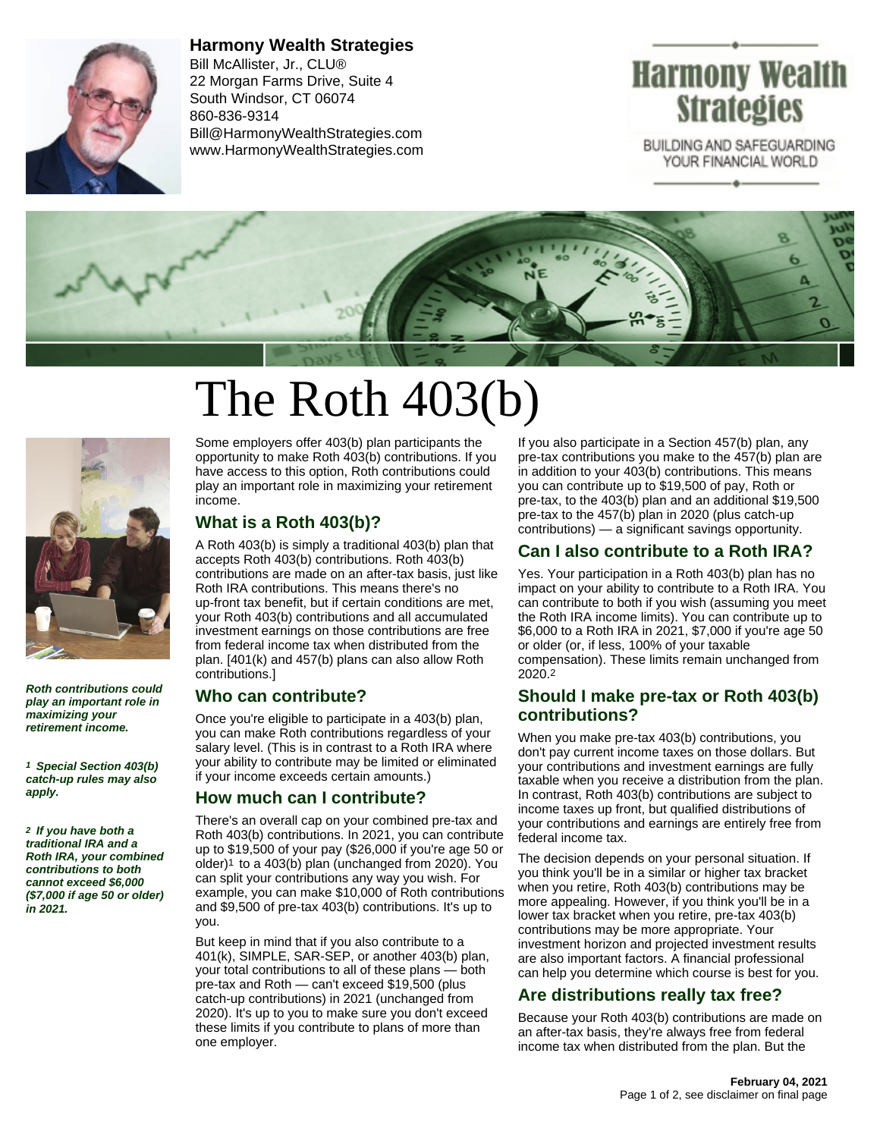

**Harmony Wealth Strategies** Bill McAllister, Jr., CLU® 22 Morgan Farms Drive, Suite 4 South Windsor, CT 06074 860-836-9314 Bill@HarmonyWealthStrategies.com www.HarmonyWealthStrategies.com



BUILDING AND SAFEGUARDING YOUR FINANCIAL WORLD



# The Roth 403(b)



**Roth contributions could play an important role in maximizing your retirement income.**

**1 Special Section 403(b) catch-up rules may also apply.**

**2 If you have both a traditional IRA and a Roth IRA, your combined contributions to both cannot exceed \$6,000 (\$7,000 if age 50 or older) in 2021.**

Some employers offer 403(b) plan participants the opportunity to make Roth 403(b) contributions. If you have access to this option, Roth contributions could play an important role in maximizing your retirement income.

## **What is a Roth 403(b)?**

A Roth 403(b) is simply a traditional 403(b) plan that accepts Roth 403(b) contributions. Roth 403(b) contributions are made on an after-tax basis, just like Roth IRA contributions. This means there's no up-front tax benefit, but if certain conditions are met, your Roth 403(b) contributions and all accumulated investment earnings on those contributions are free from federal income tax when distributed from the plan. [401(k) and 457(b) plans can also allow Roth contributions.]

#### **Who can contribute?**

Once you're eligible to participate in a 403(b) plan, you can make Roth contributions regardless of your salary level. (This is in contrast to a Roth IRA where your ability to contribute may be limited or eliminated if your income exceeds certain amounts.)

#### **How much can I contribute?**

There's an overall cap on your combined pre-tax and Roth 403(b) contributions. In 2021, you can contribute up to \$19,500 of your pay (\$26,000 if you're age 50 or older)1 to a 403(b) plan (unchanged from 2020). You can split your contributions any way you wish. For example, you can make \$10,000 of Roth contributions and \$9,500 of pre-tax 403(b) contributions. It's up to you.

But keep in mind that if you also contribute to a 401(k), SIMPLE, SAR-SEP, or another 403(b) plan, your total contributions to all of these plans — both pre-tax and Roth — can't exceed \$19,500 (plus catch-up contributions) in 2021 (unchanged from 2020). It's up to you to make sure you don't exceed these limits if you contribute to plans of more than one employer.

If you also participate in a Section 457(b) plan, any pre-tax contributions you make to the 457(b) plan are in addition to your 403(b) contributions. This means you can contribute up to \$19,500 of pay, Roth or pre-tax, to the 403(b) plan and an additional \$19,500 pre-tax to the 457(b) plan in 2020 (plus catch-up contributions) — a significant savings opportunity.

## **Can I also contribute to a Roth IRA?**

Yes. Your participation in a Roth 403(b) plan has no impact on your ability to contribute to a Roth IRA. You can contribute to both if you wish (assuming you meet the Roth IRA income limits). You can contribute up to \$6,000 to a Roth IRA in 2021, \$7,000 if you're age 50 or older (or, if less, 100% of your taxable compensation). These limits remain unchanged from 2020.2

### **Should I make pre-tax or Roth 403(b) contributions?**

When you make pre-tax 403(b) contributions, you don't pay current income taxes on those dollars. But your contributions and investment earnings are fully taxable when you receive a distribution from the plan. In contrast, Roth 403(b) contributions are subject to income taxes up front, but qualified distributions of your contributions and earnings are entirely free from federal income tax.

The decision depends on your personal situation. If you think you'll be in a similar or higher tax bracket when you retire, Roth 403(b) contributions may be more appealing. However, if you think you'll be in a lower tax bracket when you retire, pre-tax 403(b) contributions may be more appropriate. Your investment horizon and projected investment results are also important factors. A financial professional can help you determine which course is best for you.

## **Are distributions really tax free?**

Because your Roth 403(b) contributions are made on an after-tax basis, they're always free from federal income tax when distributed from the plan. But the